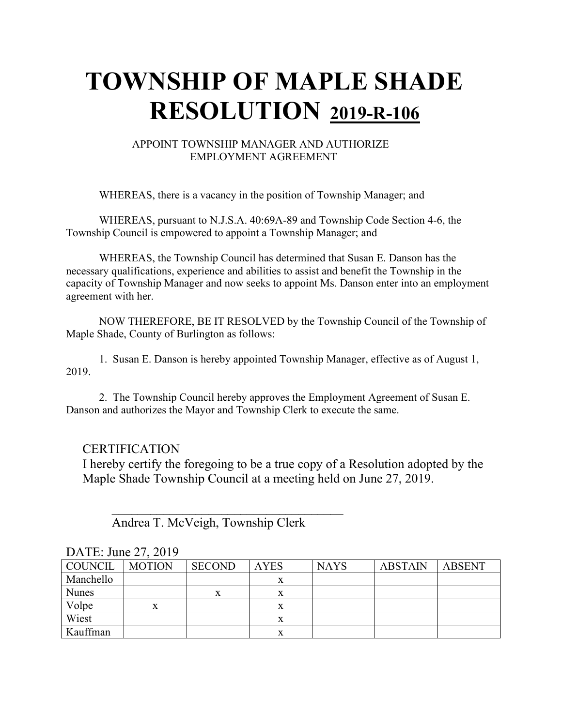## **TOWNSHIP OF MAPLE SHADE RESOLUTION 2019-R-106**

#### APPOINT TOWNSHIP MANAGER AND AUTHORIZE EMPLOYMENT AGREEMENT

WHEREAS, there is a vacancy in the position of Township Manager; and

WHEREAS, pursuant to N.J.S.A. 40:69A-89 and Township Code Section 4-6, the Township Council is empowered to appoint a Township Manager; and

WHEREAS, the Township Council has determined that Susan E. Danson has the necessary qualifications, experience and abilities to assist and benefit the Township in the capacity of Township Manager and now seeks to appoint Ms. Danson enter into an employment agreement with her.

NOW THEREFORE, BE IT RESOLVED by the Township Council of the Township of Maple Shade, County of Burlington as follows:

1. Susan E. Danson is hereby appointed Township Manager, effective as of August 1, 2019.

2. The Township Council hereby approves the Employment Agreement of Susan E. Danson and authorizes the Mayor and Township Clerk to execute the same.

#### **CERTIFICATION**

I hereby certify the foregoing to be a true copy of a Resolution adopted by the Maple Shade Township Council at a meeting held on June 27, 2019.

Andrea T. McVeigh, Township Clerk

 $\overline{\phantom{a}}$ 

| COUNCIL      | <b>MOTION</b> | <b>SECOND</b> | <b>AYES</b> | <b>NAYS</b> | <b>ABSTAIN</b> | ABSENT |  |  |
|--------------|---------------|---------------|-------------|-------------|----------------|--------|--|--|
| Manchello    |               |               |             |             |                |        |  |  |
| <b>Nunes</b> |               |               |             |             |                |        |  |  |
| Volpe        |               |               |             |             |                |        |  |  |
| Wiest        |               |               |             |             |                |        |  |  |
| Kauffman     |               |               |             |             |                |        |  |  |

#### DATE: June 27, 2019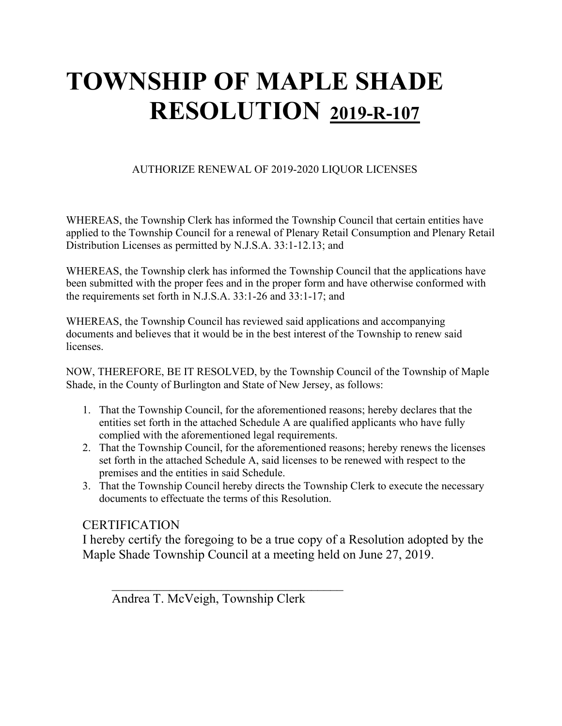# **TOWNSHIP OF MAPLE SHADE RESOLUTION 2019-R-107**

#### AUTHORIZE RENEWAL OF 2019-2020 LIQUOR LICENSES

WHEREAS, the Township Clerk has informed the Township Council that certain entities have applied to the Township Council for a renewal of Plenary Retail Consumption and Plenary Retail Distribution Licenses as permitted by N.J.S.A. 33:1-12.13; and

WHEREAS, the Township clerk has informed the Township Council that the applications have been submitted with the proper fees and in the proper form and have otherwise conformed with the requirements set forth in N.J.S.A. 33:1-26 and 33:1-17; and

WHEREAS, the Township Council has reviewed said applications and accompanying documents and believes that it would be in the best interest of the Township to renew said licenses.

NOW, THEREFORE, BE IT RESOLVED, by the Township Council of the Township of Maple Shade, in the County of Burlington and State of New Jersey, as follows:

- 1. That the Township Council, for the aforementioned reasons; hereby declares that the entities set forth in the attached Schedule A are qualified applicants who have fully complied with the aforementioned legal requirements.
- 2. That the Township Council, for the aforementioned reasons; hereby renews the licenses set forth in the attached Schedule A, said licenses to be renewed with respect to the premises and the entities in said Schedule.
- 3. That the Township Council hereby directs the Township Clerk to execute the necessary documents to effectuate the terms of this Resolution.

#### **CERTIFICATION**

I hereby certify the foregoing to be a true copy of a Resolution adopted by the Maple Shade Township Council at a meeting held on June 27, 2019.

Andrea T. McVeigh, Township Clerk

 $\overline{\phantom{a}}$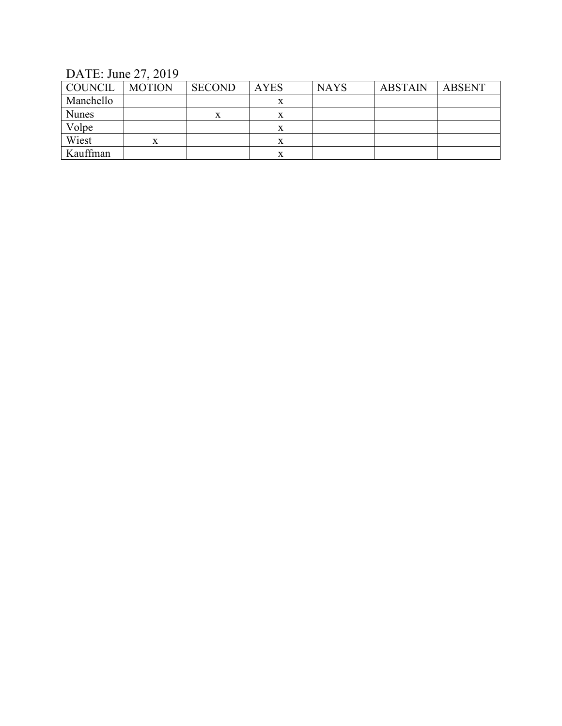### DATE: June 27, 2019

| COUNCIL      | <b>MOTION</b> | <b>SECOND</b> | <b>AYES</b> | <b>NAYS</b> | <b>ABSTAIN</b> | <b>ABSENT</b> |
|--------------|---------------|---------------|-------------|-------------|----------------|---------------|
| Manchello    |               |               | л           |             |                |               |
| <b>Nunes</b> |               | x             | л           |             |                |               |
| Volpe        |               |               | х           |             |                |               |
| Wiest        |               |               |             |             |                |               |
| Kauffman     |               |               |             |             |                |               |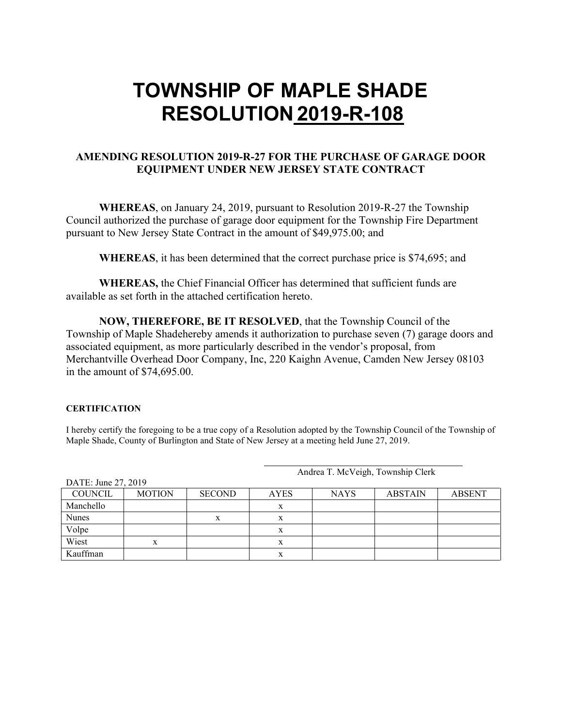## **TOWNSHIP OF MAPLE SHADE RESOLUTION 2019-R-108**

#### **AMENDING RESOLUTION 2019-R-27 FOR THE PURCHASE OF GARAGE DOOR EQUIPMENT UNDER NEW JERSEY STATE CONTRACT**

**WHEREAS**, on January 24, 2019, pursuant to Resolution 2019-R-27 the Township Council authorized the purchase of garage door equipment for the Township Fire Department pursuant to New Jersey State Contract in the amount of \$49,975.00; and

**WHEREAS**, it has been determined that the correct purchase price is \$74,695; and

**WHEREAS,** the Chief Financial Officer has determined that sufficient funds are available as set forth in the attached certification hereto.

**NOW, THEREFORE, BE IT RESOLVED**, that the Township Council of the Township of Maple Shadehereby amends it authorization to purchase seven (7) garage doors and associated equipment, as more particularly described in the vendor's proposal, from Merchantville Overhead Door Company, Inc, 220 Kaighn Avenue, Camden New Jersey 08103 in the amount of \$74,695.00.

#### **CERTIFICATION**

I hereby certify the foregoing to be a true copy of a Resolution adopted by the Township Council of the Township of Maple Shade, County of Burlington and State of New Jersey at a meeting held June 27, 2019.

| DATE: June 27, 2019 |               |               |             |             |                |               |
|---------------------|---------------|---------------|-------------|-------------|----------------|---------------|
| COUNCIL             | <b>MOTION</b> | <b>SECOND</b> | <b>AYES</b> | <b>NAYS</b> | <b>ABSTAIN</b> | <b>ABSENT</b> |
| Manchello           |               |               | v           |             |                |               |
| Nunes               |               | x             | x           |             |                |               |
| Volpe               |               |               |             |             |                |               |
| Wiest               | x             |               | x           |             |                |               |
| Kauffman            |               |               | л           |             |                |               |

Andrea T. McVeigh, Township Clerk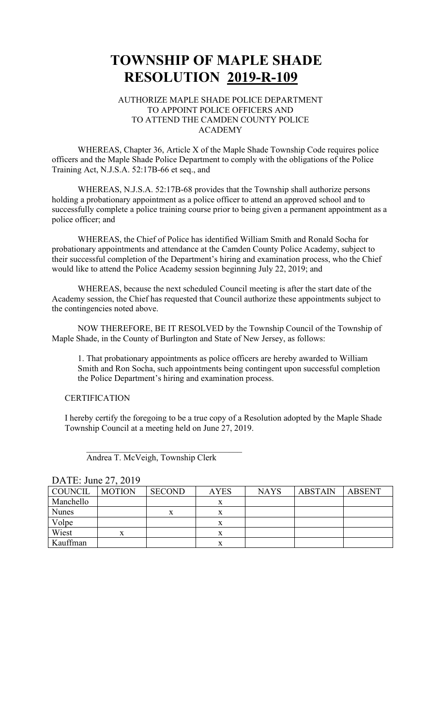### **TOWNSHIP OF MAPLE SHADE RESOLUTION 2019-R-109**

#### AUTHORIZE MAPLE SHADE POLICE DEPARTMENT TO APPOINT POLICE OFFICERS AND TO ATTEND THE CAMDEN COUNTY POLICE ACADEMY

WHEREAS, Chapter 36, Article X of the Maple Shade Township Code requires police officers and the Maple Shade Police Department to comply with the obligations of the Police Training Act, N.J.S.A. 52:17B-66 et seq., and

WHEREAS, N.J.S.A. 52:17B-68 provides that the Township shall authorize persons holding a probationary appointment as a police officer to attend an approved school and to successfully complete a police training course prior to being given a permanent appointment as a police officer; and

WHEREAS, the Chief of Police has identified William Smith and Ronald Socha for probationary appointments and attendance at the Camden County Police Academy, subject to their successful completion of the Department's hiring and examination process, who the Chief would like to attend the Police Academy session beginning July 22, 2019; and

WHEREAS, because the next scheduled Council meeting is after the start date of the Academy session, the Chief has requested that Council authorize these appointments subject to the contingencies noted above.

NOW THEREFORE, BE IT RESOLVED by the Township Council of the Township of Maple Shade, in the County of Burlington and State of New Jersey, as follows:

1. That probationary appointments as police officers are hereby awarded to William Smith and Ron Socha, such appointments being contingent upon successful completion the Police Department's hiring and examination process.

#### **CERTIFICATION**

I hereby certify the foregoing to be a true copy of a Resolution adopted by the Maple Shade Township Council at a meeting held on June 27, 2019.

| DATE: June 27, 2019 |  |  |
|---------------------|--|--|
|---------------------|--|--|

| <b>COUNCIL</b> | <b>MOTION</b> | <b>SECOND</b>    | <b>AYES</b> | <b>NAYS</b> | <b>ABSTAIN</b> | <b>ABSENT</b> |
|----------------|---------------|------------------|-------------|-------------|----------------|---------------|
| Manchello      |               |                  | $\Lambda$   |             |                |               |
| <b>Nunes</b>   |               | $\mathbf v$<br>л | л           |             |                |               |
| Volpe          |               |                  | х           |             |                |               |
| Wiest          | X             |                  | x           |             |                |               |
| Kauffman       |               |                  | x           |             |                |               |